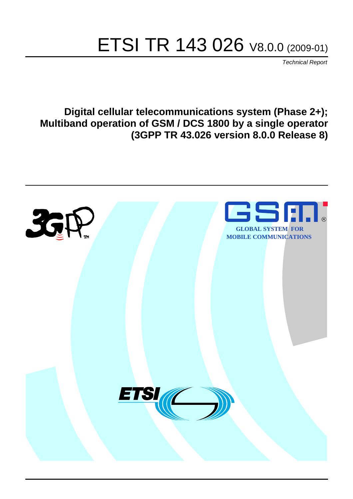# ETSI TR 143 026 V8.0.0 (2009-01)

*Technical Report*

**Digital cellular telecommunications system (Phase 2+); Multiband operation of GSM / DCS 1800 by a single operator (3GPP TR 43.026 version 8.0.0 Release 8)**

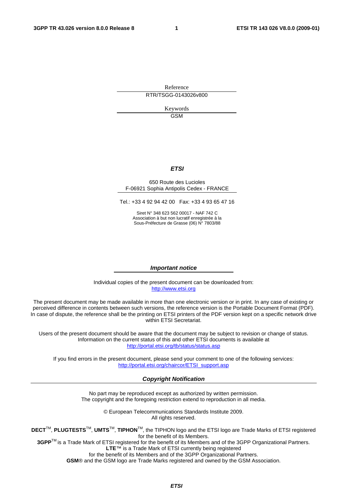Reference RTR/TSGG-0143026v800

> Keywords GSM

#### *ETSI*

#### 650 Route des Lucioles F-06921 Sophia Antipolis Cedex - FRANCE

Tel.: +33 4 92 94 42 00 Fax: +33 4 93 65 47 16

Siret N° 348 623 562 00017 - NAF 742 C Association à but non lucratif enregistrée à la Sous-Préfecture de Grasse (06) N° 7803/88

#### *Important notice*

Individual copies of the present document can be downloaded from: [http://www.etsi.org](http://www.etsi.org/)

The present document may be made available in more than one electronic version or in print. In any case of existing or perceived difference in contents between such versions, the reference version is the Portable Document Format (PDF). In case of dispute, the reference shall be the printing on ETSI printers of the PDF version kept on a specific network drive within ETSI Secretariat.

Users of the present document should be aware that the document may be subject to revision or change of status. Information on the current status of this and other ETSI documents is available at <http://portal.etsi.org/tb/status/status.asp>

If you find errors in the present document, please send your comment to one of the following services: [http://portal.etsi.org/chaircor/ETSI\\_support.asp](http://portal.etsi.org/chaircor/ETSI_support.asp)

#### *Copyright Notification*

No part may be reproduced except as authorized by written permission. The copyright and the foregoing restriction extend to reproduction in all media.

> © European Telecommunications Standards Institute 2009. All rights reserved.

**DECT**TM, **PLUGTESTS**TM, **UMTS**TM, **TIPHON**TM, the TIPHON logo and the ETSI logo are Trade Marks of ETSI registered for the benefit of its Members.

**3GPP**TM is a Trade Mark of ETSI registered for the benefit of its Members and of the 3GPP Organizational Partners. **LTE**™ is a Trade Mark of ETSI currently being registered

for the benefit of its Members and of the 3GPP Organizational Partners.

**GSM**® and the GSM logo are Trade Marks registered and owned by the GSM Association.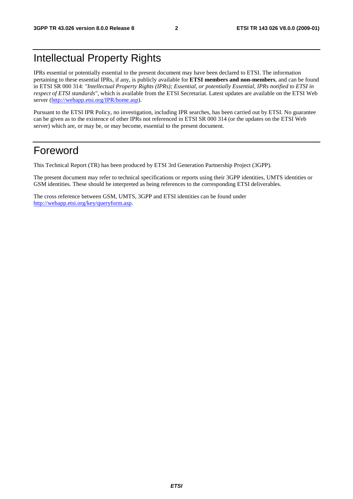# Intellectual Property Rights

IPRs essential or potentially essential to the present document may have been declared to ETSI. The information pertaining to these essential IPRs, if any, is publicly available for **ETSI members and non-members**, and can be found in ETSI SR 000 314: *"Intellectual Property Rights (IPRs); Essential, or potentially Essential, IPRs notified to ETSI in respect of ETSI standards"*, which is available from the ETSI Secretariat. Latest updates are available on the ETSI Web server ([http://webapp.etsi.org/IPR/home.asp\)](http://webapp.etsi.org/IPR/home.asp).

Pursuant to the ETSI IPR Policy, no investigation, including IPR searches, has been carried out by ETSI. No guarantee can be given as to the existence of other IPRs not referenced in ETSI SR 000 314 (or the updates on the ETSI Web server) which are, or may be, or may become, essential to the present document.

### Foreword

This Technical Report (TR) has been produced by ETSI 3rd Generation Partnership Project (3GPP).

The present document may refer to technical specifications or reports using their 3GPP identities, UMTS identities or GSM identities. These should be interpreted as being references to the corresponding ETSI deliverables.

The cross reference between GSM, UMTS, 3GPP and ETSI identities can be found under [http://webapp.etsi.org/key/queryform.asp.](http://webapp.etsi.org/key/queryform.asp)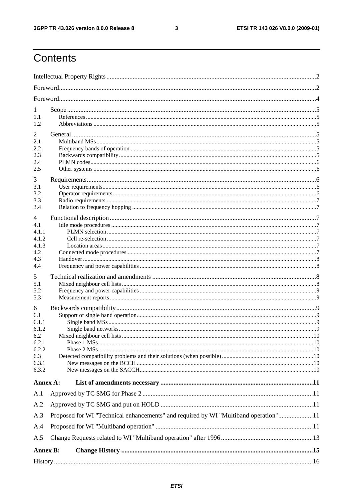$\mathbf{3}$ 

# Contents

| 1<br>1.1<br>1.2                                                              |                                                                                     |  |  |  |  |  |
|------------------------------------------------------------------------------|-------------------------------------------------------------------------------------|--|--|--|--|--|
| 2<br>2.1<br>2.2<br>2.3<br>2.4<br>2.5                                         |                                                                                     |  |  |  |  |  |
| 3<br>3.1<br>3.2<br>3.3<br>3.4<br>4                                           |                                                                                     |  |  |  |  |  |
| 4.1<br>4.1.1<br>4.1.2<br>4.1.3<br>4.2<br>4.3<br>4.4                          |                                                                                     |  |  |  |  |  |
| 5<br>5.1<br>5.2<br>5.3                                                       |                                                                                     |  |  |  |  |  |
| 6<br>6.1<br>6.1.1<br>6.1.2<br>6.2<br>6.2.1<br>6.2.2<br>6.3<br>6.3.1<br>6.3.2 |                                                                                     |  |  |  |  |  |
| Annex A:                                                                     |                                                                                     |  |  |  |  |  |
| A.1<br>A.2<br>A.3<br>A.4<br>A.5                                              | Proposed for WI "Technical enhancements" and required by WI "Multiband operation"11 |  |  |  |  |  |
| <b>Annex B:</b>                                                              |                                                                                     |  |  |  |  |  |
|                                                                              |                                                                                     |  |  |  |  |  |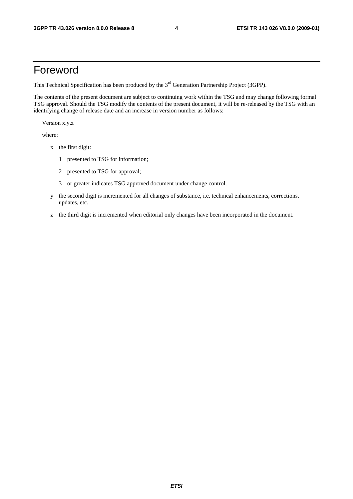# Foreword

This Technical Specification has been produced by the 3<sup>rd</sup> Generation Partnership Project (3GPP).

The contents of the present document are subject to continuing work within the TSG and may change following formal TSG approval. Should the TSG modify the contents of the present document, it will be re-released by the TSG with an identifying change of release date and an increase in version number as follows:

Version x.y.z

where:

- x the first digit:
	- 1 presented to TSG for information;
	- 2 presented to TSG for approval;
	- 3 or greater indicates TSG approved document under change control.
- y the second digit is incremented for all changes of substance, i.e. technical enhancements, corrections, updates, etc.
- z the third digit is incremented when editorial only changes have been incorporated in the document.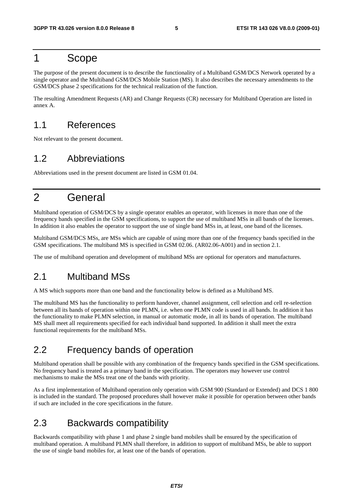### 1 Scope

The purpose of the present document is to describe the functionality of a Multiband GSM/DCS Network operated by a single operator and the Multiband GSM/DCS Mobile Station (MS). It also describes the necessary amendments to the GSM/DCS phase 2 specifications for the technical realization of the function.

The resulting Amendment Requests (AR) and Change Requests (CR) necessary for Multiband Operation are listed in annex A.

### 1.1 References

Not relevant to the present document.

### 1.2 Abbreviations

Abbreviations used in the present document are listed in GSM 01.04.

# 2 General

Multiband operation of GSM/DCS by a single operator enables an operator, with licenses in more than one of the frequency bands specified in the GSM specifications, to support the use of multiband MSs in all bands of the licenses. In addition it also enables the operator to support the use of single band MSs in, at least, one band of the licenses.

Multiband GSM/DCS MSs, are MSs which are capable of using more than one of the frequency bands specified in the GSM specifications. The multiband MS is specified in GSM 02.06. (AR02.06-A001) and in section 2.1.

The use of multiband operation and development of multiband MSs are optional for operators and manufactures.

### 2.1 Multiband MSs

A MS which supports more than one band and the functionality below is defined as a Multiband MS.

The multiband MS has the functionality to perform handover, channel assignment, cell selection and cell re-selection between all its bands of operation within one PLMN, i.e. when one PLMN code is used in all bands. In addition it has the functionality to make PLMN selection, in manual or automatic mode, in all its bands of operation. The multiband MS shall meet all requirements specified for each individual band supported. In addition it shall meet the extra functional requirements for the multiband MSs.

### 2.2 Frequency bands of operation

Multiband operation shall be possible with any combination of the frequency bands specified in the GSM specifications. No frequency band is treated as a primary band in the specification. The operators may however use control mechanisms to make the MSs treat one of the bands with priority.

As a first implementation of Multiband operation only operation with GSM 900 (Standard or Extended) and DCS 1 800 is included in the standard. The proposed procedures shall however make it possible for operation between other bands if such are included in the core specifications in the future.

### 2.3 Backwards compatibility

Backwards compatibility with phase 1 and phase 2 single band mobiles shall be ensured by the specification of multiband operation. A multiband PLMN shall therefore, in addition to support of multiband MSs, be able to support the use of single band mobiles for, at least one of the bands of operation.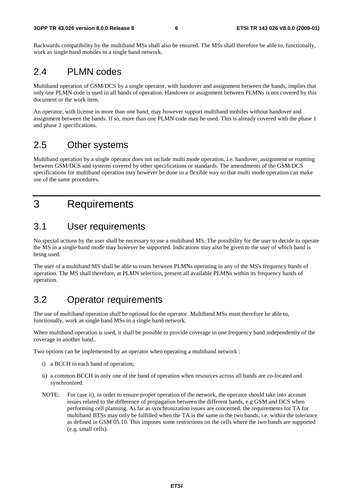Backwards compatibility by the multiband MSs shall also be ensured. The MSs shall therefore be able to, functionally, work as single band mobiles in a single band network.

### 2.4 PLMN codes

Multiband operation of GSM/DCS by a single operator, with handover and assignment between the bands, implies that only one PLMN code is used in all bands of operation. Handover or assignment between PLMNs is not covered by this document or the work item.

An operator, with license in more than one band, may however support multiband mobiles without handover and assignment between the bands. If so, more than one PLMN code may be used. This is already covered with the phase 1 and phase 2 specifications.

### 2.5 Other systems

Multiband operation by a single operator does not include multi mode operation, i.e. handover, assignment or roaming between GSM/DCS and systems covered by other specifications or standards. The amendments of the GSM/DCS specifications for multiband operation may however be done in a flexible way so that multi mode operation can make use of the same procedures.

# 3 Requirements

### 3.1 User requirements

No special actions by the user shall be necessary to use a multiband MS. The possibility for the user to decide to operate the MS in a single band mode may however be supported. Indications may also be given to the user of which band is being used.

The user of a multiband MS shall be able to roam between PLMNs operating in any of the MS's frequency bands of operation. The MS shall therefore, at PLMN selection, present all available PLMNs within its frequency bands of operation.

### 3.2 Operator requirements

The use of multiband operation shall be optional for the operator. Multiband MSs must therefore be able to, functionally, work as single band MSs in a single band network.

When multiband operation is used, it shall be possible to provide coverage in one frequency band independently of the coverage in another band..

Two options can be implemented by an operator when operating a multiband network :

- i) a BCCH in each band of operation;
- ii) a common BCCH in only one of the band of operation when resources across all bands are co-located and synchronized.
- NOTE: For case ii), in order to ensure proper operation of the network, the operator should take into account issues related to the difference of propagation between the different bands, e.g GSM and DCS when performing cell planning. As far as synchronization issues are concerned, the requirements for TA for multiband BTSs may only be fulfilled when the TA is the same in the two bands, i.e. within the tolerance as defined in GSM 05.10. This imposes some restrictions on the cells where the two bands are supported (e.g. small cells).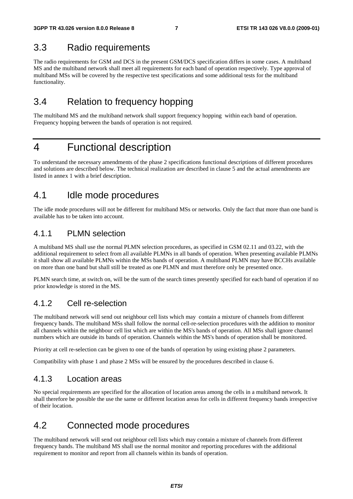### 3.3 Radio requirements

The radio requirements for GSM and DCS in the present GSM/DCS specification differs in some cases. A multiband MS and the multiband network shall meet all requirements for each band of operation respectively. Type approval of multiband MSs will be covered by the respective test specifications and some additional tests for the multiband functionality.

### 3.4 Relation to frequency hopping

The multiband MS and the multiband network shall support frequency hopping within each band of operation. Frequency hopping between the bands of operation is not required.

### 4 Functional description

To understand the necessary amendments of the phase 2 specifications functional descriptions of different procedures and solutions are described below. The technical realization are described in clause 5 and the actual amendments are listed in annex 1 with a brief description.

### 4.1 Idle mode procedures

The idle mode procedures will not be different for multiband MSs or networks. Only the fact that more than one band is available has to be taken into account.

### 4.1.1 PLMN selection

A multiband MS shall use the normal PLMN selection procedures, as specified in GSM 02.11 and 03.22, with the additional requirement to select from all available PLMNs in all bands of operation. When presenting available PLMNs it shall show all available PLMNs within the MSs bands of operation. A multiband PLMN may have BCCHs available on more than one band but shall still be treated as one PLMN and must therefore only be presented once.

PLMN search time, at switch on, will be the sum of the search times presently specified for each band of operation if no prior knowledge is stored in the MS.

### 4.1.2 Cell re-selection

The multiband network will send out neighbour cell lists which may contain a mixture of channels from different frequency bands. The multiband MSs shall follow the normal cell-re-selection procedures with the addition to monitor all channels within the neighbour cell list which are within the MS's bands of operation. All MSs shall ignore channel numbers which are outside its bands of operation. Channels within the MS's bands of operation shall be monitored.

Priority at cell re-selection can be given to one of the bands of operation by using existing phase 2 parameters.

Compatibility with phase 1 and phase 2 MSs will be ensured by the procedures described in clause 6.

### 4.1.3 Location areas

No special requirements are specified for the allocation of location areas among the cells in a multiband network. It shall therefore be possible the use the same or different location areas for cells in different frequency bands irrespective of their location.

### 4.2 Connected mode procedures

The multiband network will send out neighbour cell lists which may contain a mixture of channels from different frequency bands. The multiband MS shall use the normal monitor and reporting procedures with the additional requirement to monitor and report from all channels within its bands of operation.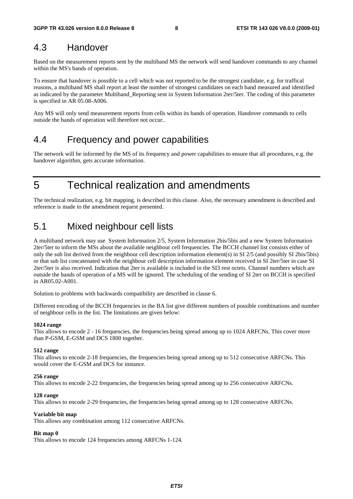### 4.3 Handover

Based on the measurement reports sent by the multiband MS the network will send handover commands to any channel within the MS's bands of operation.

To ensure that handover is possible to a cell which was not reported to be the strongest candidate, e.g. for traffical reasons, a multiband MS shall report at least the number of strongest candidates on each band measured and identified as indicated by the parameter Multiband\_Reporting sent in System Information 2ter/5ter. The coding of this parameter is specified in AR 05.08-A006.

Any MS will only send measurement reports from cells within its bands of operation. Handover commands to cells outside the bands of operation will therefore not occur..

### 4.4 Frequency and power capabilities

The network will be informed by the MS of its frequency and power capabilities to ensure that all procedures, e.g. the handover algorithm, gets accurate information.

5 Technical realization and amendments

The technical realization, e.g. bit mapping, is described in this clause. Also, the necessary amendment is described and reference is made to the amendment request presented.

### 5.1 Mixed neighbour cell lists

A multiband network may use System Information 2/5, System Information 2bis/5bis and a new System Information 2ter/5ter to inform the MSs about the available neighbour cell frequencies. The BCCH channel list consists either of only the sub list derived from the neighbour cell description information element(s) in SI 2/5 (and possibly SI 2bis/5bis) or that sub list concatenated with the neighbour cell description information element received in SI 2ter/5ter in case SI 2ter/5ter is also received. Indication that 2ter is available is included in the SI3 rest octets. Channel numbers which are outside the bands of operation of a MS will be ignored. The scheduling of the sending of SI 2ter on BCCH is specified in AR05.02-A001.

Solution to problems with backwards compatibility are described in clause 6.

Different encoding of the BCCH frequencies in the BA list give different numbers of possible combinations and number of neighbour cells in the list. The limitations are given below:

#### **1024 range**

This allows to encode 2 - 16 frequencies, the frequencies being spread among up to 1024 ARFCNs. This cover more than P-GSM, E-GSM and DCS 1800 together.

#### **512 range**

This allows to encode 2-18 frequencies, the frequencies being spread among up to 512 consecutive ARFCNs. This would cover the E-GSM and DCS for instance.

#### **256 range**

This allows to encode 2-22 frequencies, the frequencies being spread among up to 256 consecutive ARFCNs.

#### **128 range**

This allows to encode 2-29 frequencies, the frequencies being spread among up to 128 consecutive ARFCNs.

#### **Variable bit map**

This allows any combination among 112 consecutive ARFCNs.

#### **Bit map 0**

This allows to encode 124 frequencies among ARFCNs 1-124.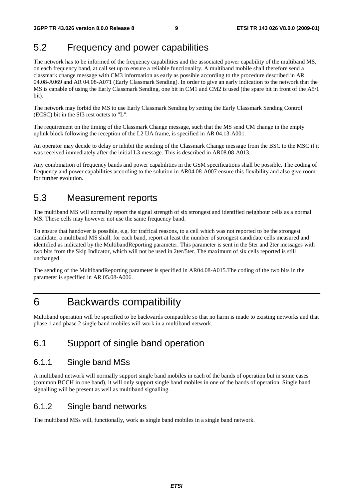### 5.2 Frequency and power capabilities

The network has to be informed of the frequency capabilities and the associated power capability of the multiband MS, on each frequency band, at call set up to ensure a reliable functionality. A multiband mobile shall therefore send a classmark change message with CM3 information as early as possible according to the procedure described in AR 04.08-A069 and AR 04.08-A071 (Early Classmark Sending)*.* In order to give an early indication to the network that the MS is capable of using the Early Classmark Sending, one bit in CM1 and CM2 is used (the spare bit in front of the A5/1 bit).

The network may forbid the MS to use Early Classmark Sending by setting the Early Classmark Sending Control (ECSC) bit in the SI3 rest octets to "L".

The requirement on the timing of the Classmark Change message, such that the MS send CM change in the empty uplink block following the reception of the L2 UA frame, is specified in AR 04.13-A001.

An operator may decide to delay or inhibit the sending of the Classmark Change message from the BSC to the MSC if it was received immediately after the initial L3 message. This is described in AR08.08-A013.

Any combination of frequency bands and power capabilities in the GSM specifications shall be possible. The coding of frequency and power capabilities according to the solution in AR04.08-A007 ensure this flexibility and also give room for further evolution.

### 5.3 Measurement reports

The multiband MS will normally report the signal strength of six strongest and identified neighbour cells as a normal MS. These cells may however not use the same frequency band.

To ensure that handover is possible, e.g. for traffical reasons, to a cell which was not reported to be the strongest candidate, a multiband MS shall, for each band, report at least the number of strongest candidate cells measured and identified as indicated by the MultibandReporting parameter. This parameter is sent in the 5ter and 2ter messages with two bits from the Skip Indicator, which will not be used in 2ter/5ter. The maximum of six cells reported is still unchanged.

The sending of the MultibandReporting parameter is specified in AR04.08-A015.The coding of the two bits in the parameter is specified in AR 05.08-A006.

### 6 Backwards compatibility

Multiband operation will be specified to be backwards compatible so that no harm is made to existing networks and that phase 1 and phase 2 single band mobiles will work in a multiband network.

### 6.1 Support of single band operation

### 6.1.1 Single band MSs

A multiband network will normally support single band mobiles in each of the bands of operation but in some cases (common BCCH in one band), it will only support single band mobiles in one of the bands of operation. Single band signalling will be present as well as multiband signalling.

### 6.1.2 Single band networks

The multiband MSs will, functionally, work as single band mobiles in a single band network.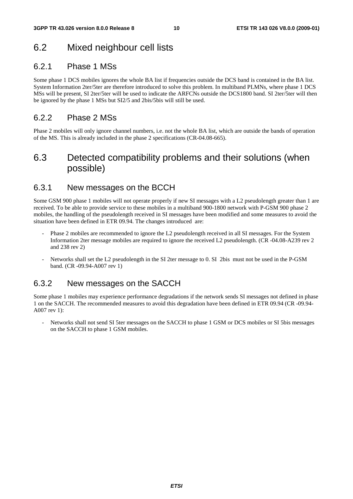### 6.2 Mixed neighbour cell lists

### 6.2.1 Phase 1 MSs

Some phase 1 DCS mobiles ignores the whole BA list if frequencies outside the DCS band is contained in the BA list. System Information 2ter/5ter are therefore introduced to solve this problem. In multiband PLMNs, where phase 1 DCS MSs will be present, SI 2ter/5ter will be used to indicate the ARFCNs outside the DCS1800 band. SI 2ter/5ter will then be ignored by the phase 1 MSs but SI2/5 and 2bis/5bis will still be used.

### 6.2.2 Phase 2 MSs

Phase 2 mobiles will only ignore channel numbers, i.e. not the whole BA list, which are outside the bands of operation of the MS. This is already included in the phase 2 specifications (CR-04.08-665).

### 6.3 Detected compatibility problems and their solutions (when possible)

### 6.3.1 New messages on the BCCH

Some GSM 900 phase 1 mobiles will not operate properly if new SI messages with a L2 pseudolength greater than 1 are received. To be able to provide service to these mobiles in a multiband 900-1800 network with P-GSM 900 phase 2 mobiles, the handling of the pseudolength received in SI messages have been modified and some measures to avoid the situation have been defined in ETR 09.94. The changes introduced are:

- Phase 2 mobiles are recommended to ignore the L2 pseudolength received in all SI messages. For the System Information 2ter message mobiles are required to ignore the received L2 pseudolength. (CR -04.08-A239 rev 2 and 238 rev 2)
- Networks shall set the L2 pseudolength in the SI 2ter message to 0. SI 2bis must not be used in the P-GSM band. (CR -09.94-A007 rev 1)

### 6.3.2 New messages on the SACCH

Some phase 1 mobiles may experience performance degradations if the network sends SI messages not defined in phase 1 on the SACCH. The recommended measures to avoid this degradation have been defined in ETR 09.94 (CR -09.94- A007 rev 1):

- Networks shall not send SI 5ter messages on the SACCH to phase 1 GSM or DCS mobiles or SI 5bis messages on the SACCH to phase 1 GSM mobiles.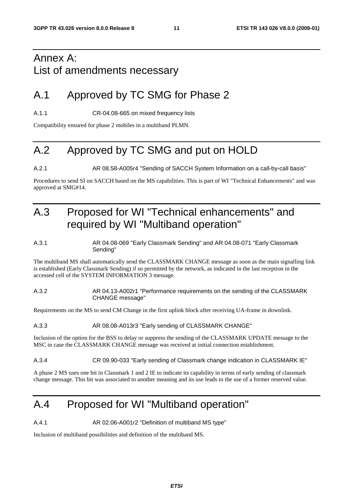# Annex A: List of amendments necessary

# A.1 Approved by TC SMG for Phase 2

A.1.1 CR-04.08-665 on mixed frequency lists

Compatibility ensured for phase 2 mobiles in a multiband PLMN.

# A.2 Approved by TC SMG and put on HOLD

A.2.1 AR 08.58-A005r4 "Sending of SACCH System Information on a call-by-call basis"

Procedures to send SI on SACCH based on the MS capabilities. This is part of WI "Technical Enhancements" and was approved at SMG#14.

# A.3 Proposed for WI "Technical enhancements" and required by WI "Multiband operation"

#### A.3.1 AR 04.08-069 "Early Classmark Sending" and AR 04.08-071 "Early Classmark Sending"

The multiband MS shall automatically send the CLASSMARK CHANGE message as soon as the main signalling link is established (Early Classmark Sending) if so permitted by the network, as indicated in the last reception in the accessed cell of the SYSTEM INFORMATION 3 message.

#### A.3.2 AR 04.13-A002r1 "Performance requirements on the sending of the CLASSMARK CHANGE message"

Requirements on the MS to send CM Change in the first uplink block after receiving UA-frame in downlink.

#### A.3.3 AR 08.08-A013r3 "Early sending of CLASSMARK CHANGE"

Inclusion of the option for the BSS to delay or suppress the sending of the CLASSMARK UPDATE message to the MSC in case the CLASSMARK CHANGE message was received at initial connection establishment.

#### A.3.4 CR 09.90-033 "Early sending of Classmark change indication in CLASSMARK IE"

A phase 2 MS uses one bit in Classmark 1 and 2 IE to indicate its capability in terms of early sending of classmark change message. This bit was associated to another meaning and its use leads to the use of a former reserved value.

# A.4 Proposed for WI "Multiband operation"

A.4.1 AR 02.06-A001r2 "Definition of multiband MS type"

Inclusion of multiband possibilities and definition of the multiband MS.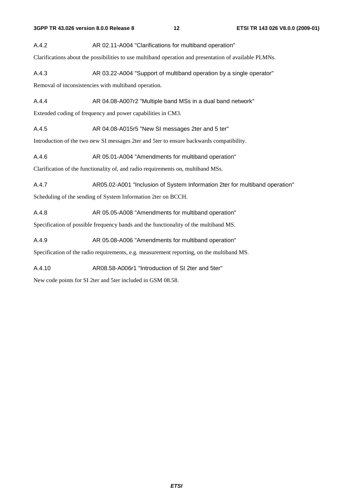A.4.2 AR 02.11-A004 "Clarifications for multiband operation"

Clarifications about the possibilities to use multiband operation and presentation of available PLMNs.

A.4.3 AR 03.22-A004 "Support of multiband operation by a single operator"

Removal of inconsistencies with multiband operation.

A.4.4 **AR 04.08-A007r2** "Multiple band MSs in a dual band network"

Extended coding of frequency and power capabilities in CM3.

A.4.5 AR 04.08-A015r5 "New SI messages 2ter and 5 ter"

Introduction of the two new SI messages 2ter and 5ter to ensure backwards compatibility.

A.4.6 AR 05.01-A004 "Amendments for multiband operation"

Clarification of the functionality of, and radio requirements on, multiband MSs.

A.4.7 AR05.02-A001 "Inclusion of System Information 2ter for multiband operation"

Scheduling of the sending of System Information 2ter on BCCH.

A.4.8 AR 05.05-A008 "Amendments for multiband operation"

Specification of possible frequency bands and the functionality of the multiband MS.

A.4.9 AR 05.08-A006 "Amendments for multiband operation"

Specification of the radio requirements, e.g. measurement reporting, on the multiband MS.

A.4.10 AR08.58-A006r1 "Introduction of SI 2ter and 5ter"

New code points for SI 2ter and 5ter included in GSM 08.58.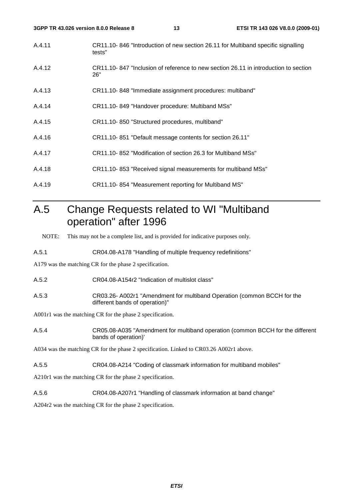- A.4.11 CR11.10- 846 "Introduction of new section 26.11 for Multiband specific signalling tests"
- A.4.12 CR11.10- 847 "Inclusion of reference to new section 26.11 in introduction to section 26"
- A.4.13 CR11.10- 848 "Immediate assignment procedures: multiband"
- A.4.14 CR11.10- 849 "Handover procedure: Multiband MSs"
- A.4.15 CR11.10- 850 "Structured procedures, multiband"
- A.4.16 CR11.10- 851 "Default message contents for section 26.11"
- A.4.17 CR11.10- 852 "Modification of section 26.3 for Multiband MSs"
- A.4.18 CR11.10- 853 "Received signal measurements for multiband MSs"
- A.4.19 CR11.10- 854 "Measurement reporting for Multiband MS"

## A.5 Change Requests related to WI "Multiband operation" after 1996

NOTE: This may not be a complete list, and is provided for indicative purposes only.

A.5.1 CR04.08-A178 "Handling of multiple frequency redefinitions"

A179 was the matching CR for the phase 2 specification.

- A.5.2 CR04.08-A154r2 "Indication of multislot class"
- A.5.3 CR03.26- A002r1 "Amendment for multiband Operation (common BCCH for the different bands of operation)"

A001r1 was the matching CR for the phase 2 specification.

A.5.4 CR05.08-A035 "Amendment for multiband operation (common BCCH for the different bands of operation)'

A034 was the matching CR for the phase 2 specification. Linked to CR03.26 A002r1 above.

A.5.5 CR04.08-A214 "Coding of classmark information for multiband mobiles"

A210r1 was the matching CR for the phase 2 specification.

A.5.6 CR04.08-A207r1 "Handling of classmark information at band change"

A204r2 was the matching CR for the phase 2 specification.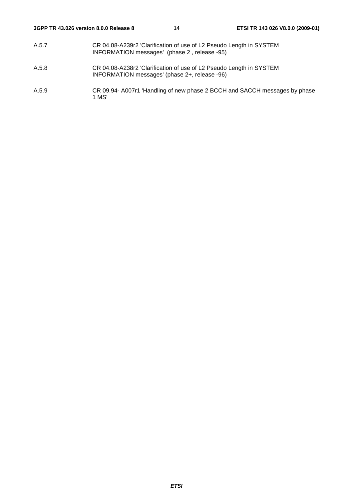- A.5.7 CR 04.08-A239r2 'Clarification of use of L2 Pseudo Length in SYSTEM INFORMATION messages' (phase 2 , release -95)
- A.5.8 CR 04.08-A238r2 'Clarification of use of L2 Pseudo Length in SYSTEM INFORMATION messages' (phase 2+, release -96)
- A.5.9 CR 09.94- A007r1 'Handling of new phase 2 BCCH and SACCH messages by phase 1 MS'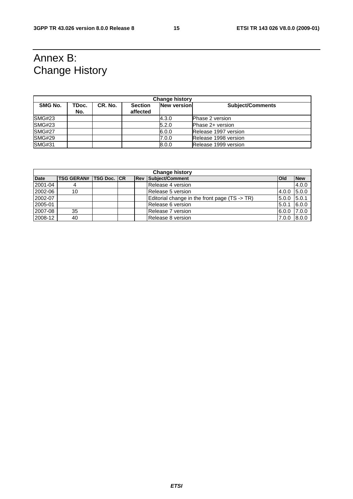# Annex B: Change History

| <b>Change history</b> |              |         |                            |                    |                         |  |  |
|-----------------------|--------------|---------|----------------------------|--------------------|-------------------------|--|--|
| SMG No.               | TDoc.<br>No. | CR. No. | <b>Section</b><br>affected | <b>New version</b> | <b>Subject/Comments</b> |  |  |
| SMG#23                |              |         |                            | 4.3.0              | <b>Phase 2 version</b>  |  |  |
| SMG#23                |              |         |                            | 5.2.0              | Phase 2+ version        |  |  |
| <b>SMG#27</b>         |              |         |                            | 6.0.0              | Release 1997 version    |  |  |
| <b>SMG#29</b>         |              |         |                            | 7.0.0              | Release 1998 version    |  |  |
| <b>SMG#31</b>         |              |         |                            | 8.0.0              | Release 1999 version    |  |  |

| <b>Change history</b> |                               |  |  |  |                                                          |            |            |
|-----------------------|-------------------------------|--|--|--|----------------------------------------------------------|------------|------------|
| <b>Date</b>           | <b>TSG GERAN# TSG Doc. CR</b> |  |  |  | <b>Rev Subject/Comment</b>                               | <b>Old</b> | <b>New</b> |
| 2001-04               |                               |  |  |  | Release 4 version                                        |            | 4.0.0      |
| 2002-06               | 10                            |  |  |  | Release 5 version                                        | 4.0.0      | 5.0.0      |
| 2002-07               |                               |  |  |  | Editorial change in the front page $(TS \rightarrow TR)$ | 5.0.0      | 5.0.1      |
| 2005-01               |                               |  |  |  | Release 6 version                                        | 5.0.1      | 6.0.0      |
| 2007-08               | 35                            |  |  |  | Release 7 version                                        | 6.0.0      | 17.0.0     |
| 2008-12               | 40                            |  |  |  | Release 8 version                                        | 7.0.0      | 8.0.0      |